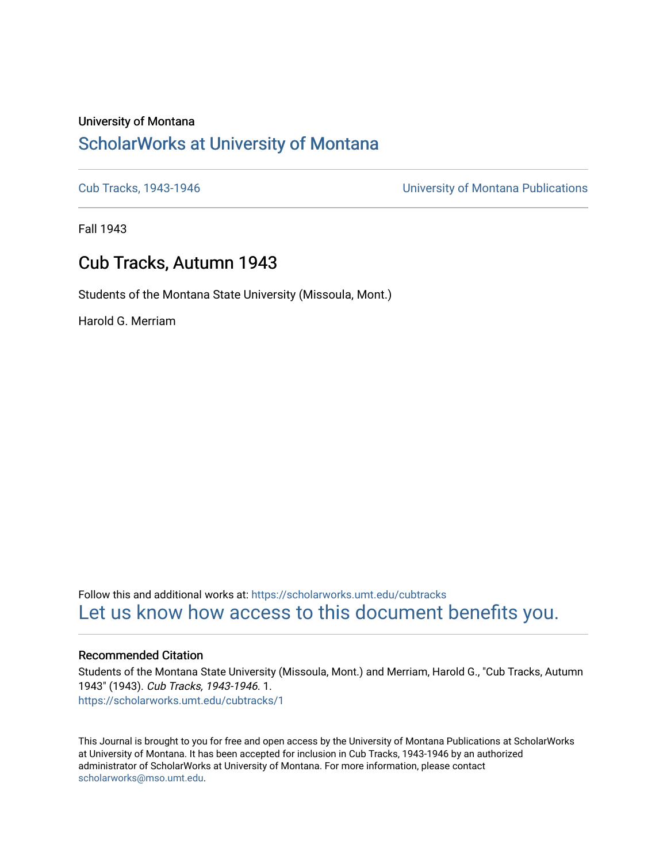# University of Montana [ScholarWorks at University of Montana](https://scholarworks.umt.edu/)

[Cub Tracks, 1943-1946](https://scholarworks.umt.edu/cubtracks) [University of Montana Publications](https://scholarworks.umt.edu/umpubs) 

Fall 1943

# Cub Tracks, Autumn 1943

Students of the Montana State University (Missoula, Mont.)

Harold G. Merriam

Follow this and additional works at: [https://scholarworks.umt.edu/cubtracks](https://scholarworks.umt.edu/cubtracks?utm_source=scholarworks.umt.edu%2Fcubtracks%2F1&utm_medium=PDF&utm_campaign=PDFCoverPages) [Let us know how access to this document benefits you.](https://goo.gl/forms/s2rGfXOLzz71qgsB2) 

# Recommended Citation

Students of the Montana State University (Missoula, Mont.) and Merriam, Harold G., "Cub Tracks, Autumn 1943" (1943). Cub Tracks, 1943-1946. 1. [https://scholarworks.umt.edu/cubtracks/1](https://scholarworks.umt.edu/cubtracks/1?utm_source=scholarworks.umt.edu%2Fcubtracks%2F1&utm_medium=PDF&utm_campaign=PDFCoverPages) 

This Journal is brought to you for free and open access by the University of Montana Publications at ScholarWorks at University of Montana. It has been accepted for inclusion in Cub Tracks, 1943-1946 by an authorized administrator of ScholarWorks at University of Montana. For more information, please contact [scholarworks@mso.umt.edu.](mailto:scholarworks@mso.umt.edu)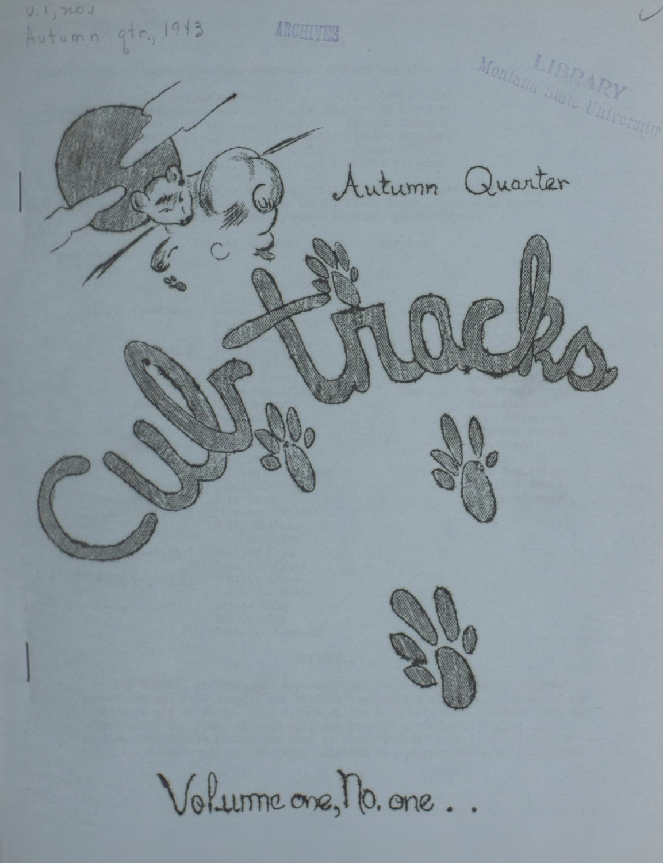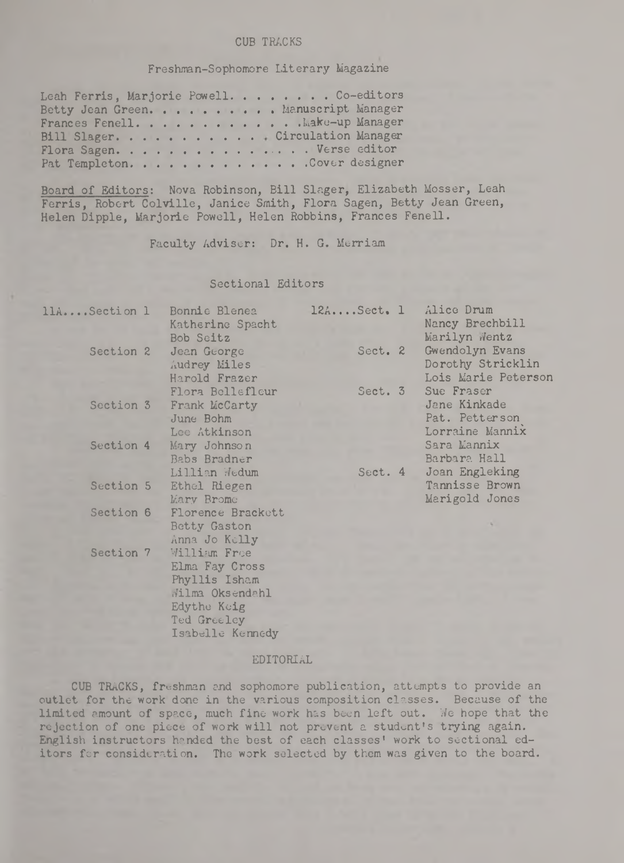## **CUB TRACKS**

# **Freshman-Sophomore Literary Magazine**

|  | Leah Ferris, Marjorie Powell. Co-editors |
|--|------------------------------------------|
|  | Betty Jean Green. Manuscript Manager     |
|  | Frances Fenell. Make-up Manager          |
|  | Bill Slager. Circulation Manager         |
|  | Flora Sagen. Verse editor                |
|  | Pat Templeton. Cover designer            |

**Board of Editors: Nova Robinson, Bill Slager, Elizabeth Mosser, Leah Ferris, Robert Colville, Janice Smith, Flora Sagen, Betty Jean Green, Helen Dipple, Marjorie Powell, Helen Robbins, Frances Fenell.**

**Faculty Adviser: Dr. H. G. Merriam**

### **Sectional Editors**

| 11ASection 1 | Bonnie Blenea<br>Katherine Spacht<br>Bob Seitz                                                   | $12A$ Sect. 1 | Alice Drum<br>Nancy Brechbill<br>Marilyn Wentz                  |
|--------------|--------------------------------------------------------------------------------------------------|---------------|-----------------------------------------------------------------|
| Section 2    | Jean George<br>Audrey Miles<br>Harold Frazer                                                     | Sect. 2       | Gwendolyn Evans<br>Dorothy Stricklin<br>Lois Marie Peterson     |
| Section 3    | Flora Bellefleur<br>Frank McCarty<br>June Bohm<br>Lee Atkinson                                   | Sect. 3       | Sue Fraser<br>Jane Kinkade<br>Pat. Petterson<br>Lorraine Mannix |
| Section 4    | Mary Johnson<br>Babs Bradner<br>Lillian Wedum                                                    | Sect. 4       | Sara Mannix<br>Barbara Hall<br>Joan Engleking                   |
| Section 5    | Ethel Riegen<br>Mary Brome                                                                       |               | Tannisse Brown<br>Marigold Jones                                |
| Section 6    | Florence Brackett<br>Betty Gaston<br>Anna Jo Kelly                                               |               |                                                                 |
| Section 7    | William Froe<br>Elma Fay Cross<br>Phyllis Isham<br>Wilma Oksendahl<br>Edythe Keig<br>Ted Greeley |               |                                                                 |

#### **EDITORIAL**

**Isabelle Kennedy**

**CUB TRACKS, freshman and sophomore publication, attempts to provide an outlet for the work done in the various composition classes. Because of the limited amount of space, much fine work has been left out. We hope that the rejection of one piece of work will not prevent a student's trying again.** English instructors handed the best of each classes' work to sectional ed**itors for consideration. The work selected by them was given to the board.**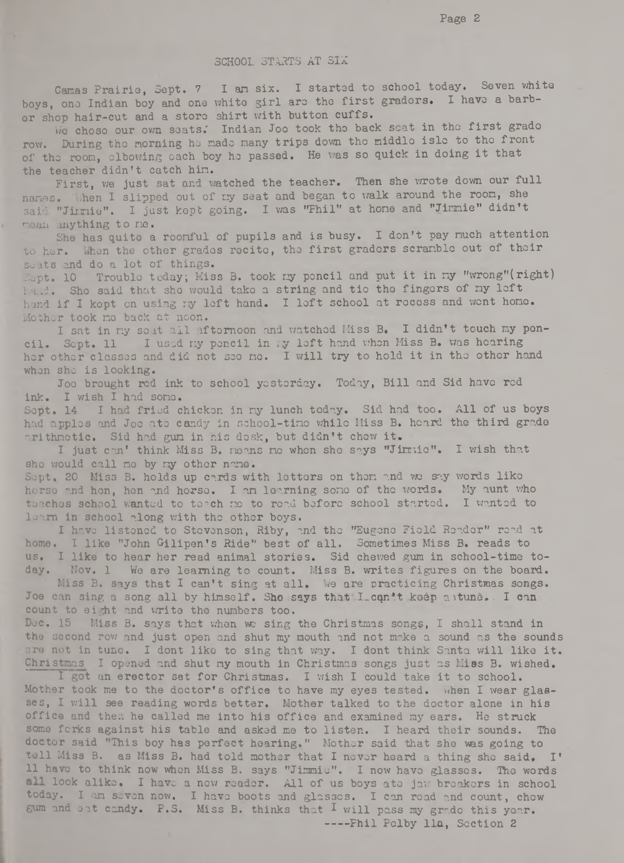#### **SCHOOL STARTS AT SIX**

**Camas Prairie, Sept. 7 I am six. I started to school today. Seven white boys, ono Indian boy and one whito girl aro the first gradors. I have a barber shop hair-cut and a storo shirt with button cuffs.**

**V/e choso our own seats.' Indian Joo took tho back scat in tho first grado row. During tho morning he made many trips down tho middlo islo to the front of tho room, elbowing oach boy ho passed. He was so quick in doing it that the teacher didn't catch him.**

First, we just sat and watched the teacher. Then she wrote down our full **names, -hen I slipped out of ny seat and began to walk around the room, she said "Jimmie". I just kept going. I was "Phil" at hone and "Jimmie" didn't noon anything to me.**

**She has quito a roomful of pupils and is busy. I don't pay much attention to her. when the other grados rocito, tho first gradors scramble out of thoir seats and do a lot of things.**

**Sept. 10 Troublo today; Miss B. took my pencil and put it in my "wrong"(right) hand. Sho said that sho would tako a string and tio tho fingers of ny loft hand if I kopt on using ny left hand. I loft school at rocoss and wont homo. Mothor took no back at noon.**

I sat in my seat all afternoon and watched Miss B. I didn't touch my poncil. Sopt. 11 I used my pencil in my left hand when Miss B. was hearing **her other classes and did not seo no. I will try to hold it in tho othor hand** whon sho is looking.

**Joo brought rod ink to school yesterday. Today, Bill and Sid havo red ink. I wish I had sono.**

Sopt. 14 I had fried chickon in my lunch today. Sid had too. All of us boys **had applos and Joo ato candy in school-tino while Hiss B. heard the third grade arithmetic. Sid had gun in his dosk, but didn't chow it.**

**I just can' think Miss B. noons no whon sho says "Jimmie". I wish that** sho would call no by my other nano.

Sopt. 20 Miss B. holds up cards with lettors on them and we say words like **horso and hon, hon and horso. I an learning sono of tho words. My aunt who** toachos school wanted to toach no to road before school started. I wanted to loarn in school along with the other boys.

I have listened to Stevenson, Riby, and the "Eugene Field Reader" read at **home. I like "John Gilipen's Ride" best of all. Sometimes Miss B. reads to us. I like to hear her read animal stories. Sid chewed gum in school-time today. Nov. 1 We are learning to count. Miss B. writes figures on the board.**

**Miss B. says that I can't sing at all. We are practicing Christmas songs.** Joe can sing a song all by himself. She says that I con't keep aitune. I can**count to eight and write tho numbers too.**

**Doc. 15 Miss B. says that when we sing the Christmas songs, I shall stand in** the second row and just open and shut my mouth and not make a sound as the sounds are not in tune. I dont like to sing that way. I dont think Santa will like it. **Christmas I opened and shut my mouth in Christmas songs just as Miss B. wished.**

**I got an erector set for Christmas. I wish I could take it to school.** Mother took me to the doctor's office to have my eyes tested. When I wear glas**ses, I will see reading words better. Mother talked to the doctor alone in his office and then he called me into his office and examined my ears. He struck some forks against his table and asked me to listen. I heard their sounds. The doctor said "This boy has perfect hearing." Mother said that she was going to** toll Miss B. as Miss B. had told mother that I never heard a thing she said. I' **11 havo to think now whon Miss B. says "Jimmio". I now havo glasses. Tho words look alike. I have a now roador. All of us boys ato jaw broakors in school today. I am seven now. I havo boots and glasses. I can road and count, chow** gum and oat candy. P.S. Miss B. thinks that I will pass my grade this year. **-- -Phil Polby 11a, Soction 2**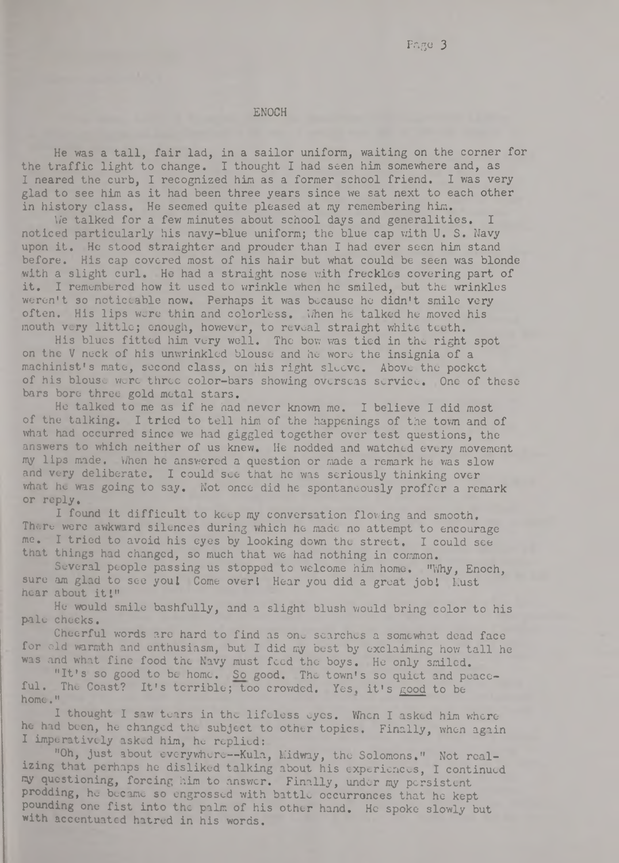#### **ENOCH**

**He was a tall, fair lad, in a sailor uniform, waiting on the corner for the traffic light to change. I thought I had seen him somewhere and, as I neared the curb, I recognized him as a former school friend. I was very glad to see him as it had been three years since we sat next to each other in history class. He seemed quite pleased at my remembering him.**

**We talked for a few minutes about school days and generalities. I** noticed particularly his navy-blue uniform; the blue cap with U. S. Navy **upon it. He stood straighter and prouder than I had ever seen him stand before. His cap covered most of his hair but what could be seen was blonde** with a slight curl. He had a straight nose with freckles covering part of **it. I remembered how it used to wrinkle when he smiled, but the wrinkles weren't so noticeable now. Perhaps it was because he didn't smile very** often. His lips were thin and colorless. When he talked he moved his **mouth very little; enough, however, to reveal straight white teeth.**

**His blues fitted him very well. The bow was tied in the right spot on the V neck of his unwrinkled blouse and he wore the insignia of a machinist's mate, second class, on his right sleeve. Above the pocket** of his blouse were three color-bars showing overseas service. One of these **bars boro three gold metal stars.**

**He talked to me as if he had never known me. I believe I did most of the talking. I tried to tell him of the happenings of the town and of what had occurred since we had giggled together over test questions, the answers to which neither of us knew. He nodded and watched every movement my lips made. When he answered a question or made a remark he was slow and very deliberate. I could see that he was seriously thinking over what he was going to say. Not once did he spontaneously proffer a remark or reply.**

I found it difficult to keep my conversation flowing and smooth. **There were awkward silences during which he made no attempt to encourage me. I tried to avoid his eyes by looking down the street. I could see that things had changed, so much that we had nothing in common.**

**Several people passing us stopped to welcome him home. "Why, Enoch,** sure am glad to see you! Come over! Hear you did a great job! Must **hear about itl"**

**He would smile bashfully, and a slight blush would bring color to his pale choeks.**

Cheerful words are hard to find as one searches a somewhat dead face **for old warmth and enthusiasm, but I did my best by exclaiming how tall he was and what fine food the Navy must feed the boys. He only smiled.**

"It's so good to be home. So good. The town's so quiet and peace**ful. The Coast? It's terrible; too crowded. Yes, it's good to be home."**

**I thought I saw tears in the lifeless eyes. When I asked him where he had been, he changed the subject to other topics. Finally, when again I imperatively asked him, he replied:**

**"Oh, just about everywhere— Kula, Midway, the Solomons." Not realizing that perhaps he disliked talking about his experiences, I continued my questioning, forcing him to answer. Finally, under my persistent prodding, he became so engrossed with battle occurrences that he kept pounding one fist into the palm of his other hand. He spoke slowly but with accentuated hatred in his words.**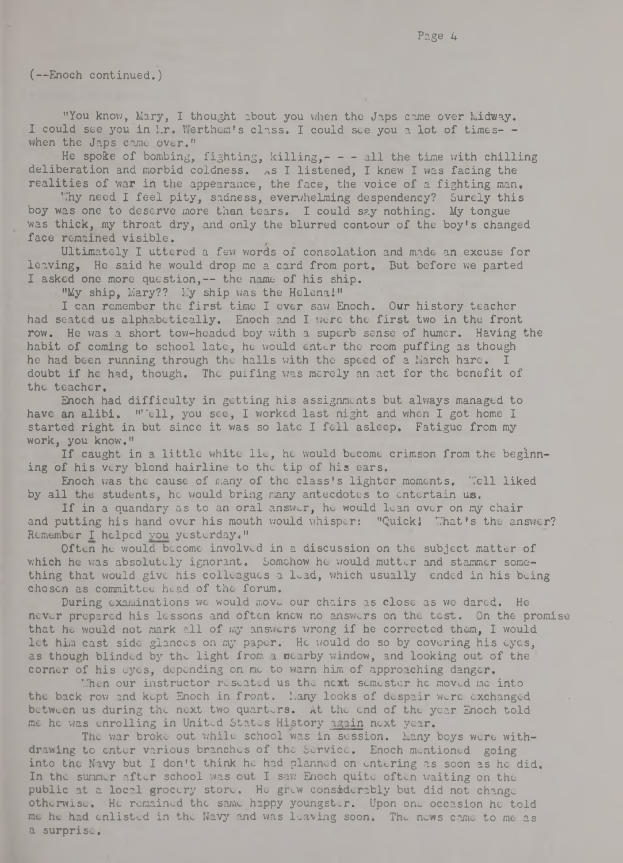(— Enoch continued.)

"You know, Mary, I thought about you when the Japs came over Lidway. I could see you in M.r. Werthem's class. I could see you a lot of times- **when the Japs came over."**

**He spoke of bombing, fighting, killing,- -- all the time with chilling deliberation and morbid coldness, as I listened, I knew I was facing the realities of war in the appearance, the face, the voice of a fighting man,**

**T.7hy need I feel pity, sadness, overwhelming despendency? Surely this boy was one to deserve more than tears. I could say nothing. My tongue was thick, my throat dry, and only the blurred contour of the boy's changed face remained visible.**

**Ultimately I uttered a few words of consolation and made an excuse for leaving, He said he would drop me a card from port. But before we parted I asked one more question,— the name of his ship.**

"My ship, Mary?? My ship was the Helena!"

**I can remember the first time I ever saw Enoch. Our history teacher had seated us alphabetically. Enoch and I were the first two in the front row. He was a short tow-headed boy with a superb sense of humer. Having the habit of coming to school late, he would enter the room puffing as though** he had been running through the halls with the speed of a March hare. **doubt if he had, though. The puffing was merely an act for the benefit of the teacher.**

**Enoch had difficulty in getting his assignments but always managed to** have an alibi. "'ell, you see, I worked last night and when I got home I **started right in but since it was so late I fell asleep. Fatigue from my work, you know."**

If caught in a little white lie, he would become crimson from the beginn**ing of his very blond hairline to the tip of his ears.**

Enoch was the cause of many of the class's lighter moments, "*iell liked* by all the students, he would bring many antecdotes to entertain us.

**If in a quandary as to an oral answer, he would loan over on my chair and putting his hand over his mouth would whisper: "Quick! 'That's the answer? Remember I helped you yesterday."**

**Often he would become involved in a discussion on the subject matter of** which he was absolutely ignorant. Somehow he would mutter and stammer some**thing that would give his colleagues a lead, which usually ended in his being chosen as committee head of the forum.**

**During examinations we would move our chairs as close as we dared. He never prepared his lessons and often knew no answers on the test. On the promise that he would not mark all of my answers wrong if he corrected them, I would let him cast side glances on my paper. He would do so by covering his eyes, as though blinded by the light from a nearby window, and looking out of the corner of his eyes, depending on me to warn him of approaching danger.**

**'Then our instructor reseated us the next semester he moved me into** the back row and kept Enoch in front. Many looks of despair were exchanged **between us during the next two quarters. At the end of the year Enoch told me he was enrolling in United States History again next year.**

The war broke out while school was in session. Many boys were with**drawing to enter various branches of the Service, Enoch mentioned going** into the Navy but I don't think he had planned on entering as soon as he did. In the summer after school was out I saw Enoch quite often waiting on the public at a local grocery store. He grew considerably but did not change **otherwise. He remained the same happy youngster. Upon one occasion he told** me he had enlisted in the Navy and was leaving soon. The news came to me as **a surprise.**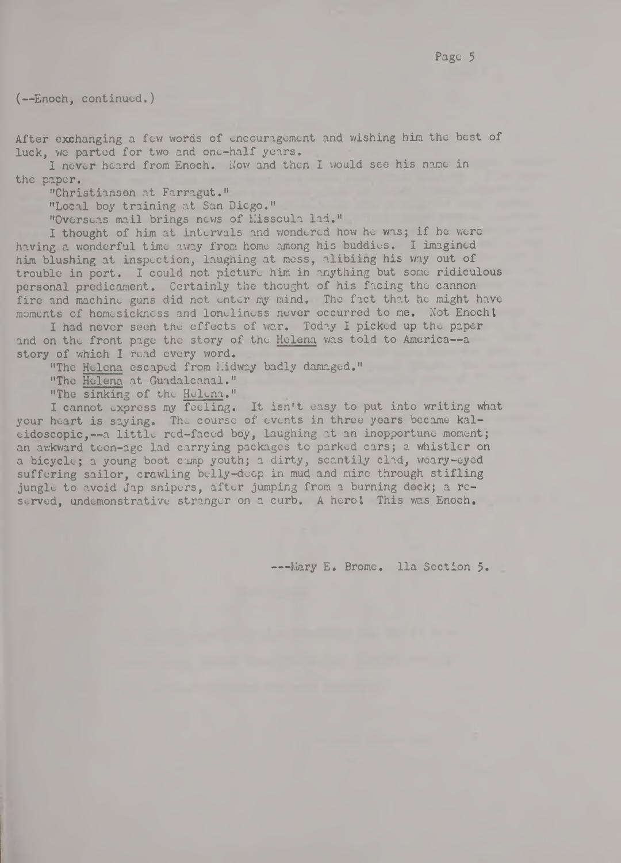(— Enoch, c ont inued.)

**After exchanging a few words of encouragement and wishing him the best of luck, we parted for two and one-half years.**

**I never heard from Enoch. Now and then I would see his name in the paper.**

**"Christianson at Farragut."**

**"Local boy training at San Diego."**

"Overseas mail brings news of Missoula lad."

**I thought of him at intervals and wondered how he was; if he were having a wonderful time away from home among his buddies. I imagined him blushing at inspection, laughing at mess, alibiing his way out of trouble in port. I could not picture him in anything but some ridiculous personal predicament. Certainly the thought of his facing the cannon fire and machine guns did not enter my mind. The fact that he might have moments of homesickness and loneliness never occurred to me. Not Enochl**

I had never seen the effects of war. Today I picked up the paper and on the front page the story of the Helena was told to America--a **story of which I read every word.**

"The Helena escaped from Hidway badly damaged."

"The Helena at Guadalcanal."

**"The sinking of the Helena."**

**I cannot express my foeling. It isn't easy to put into writing what your heart is saying. The course of events in three years became kal**eidoscopic.--a little red-faced boy, laughing at an inopportune moment; **an awkward teen-age lad carrying packages to parked cars; a whistler on a bicycle; a young boot camp youth; a dirty, scantily clad, weary-eyed suffering sailor, crawling belly-deep in mud and mire through stifling jungle to avoid Jap snipers, after jumping from a burning deck; a re**served, undemonstrative stranger on a curb. A herol This was Enoch.

---Mary E. Brome. lla Section 5.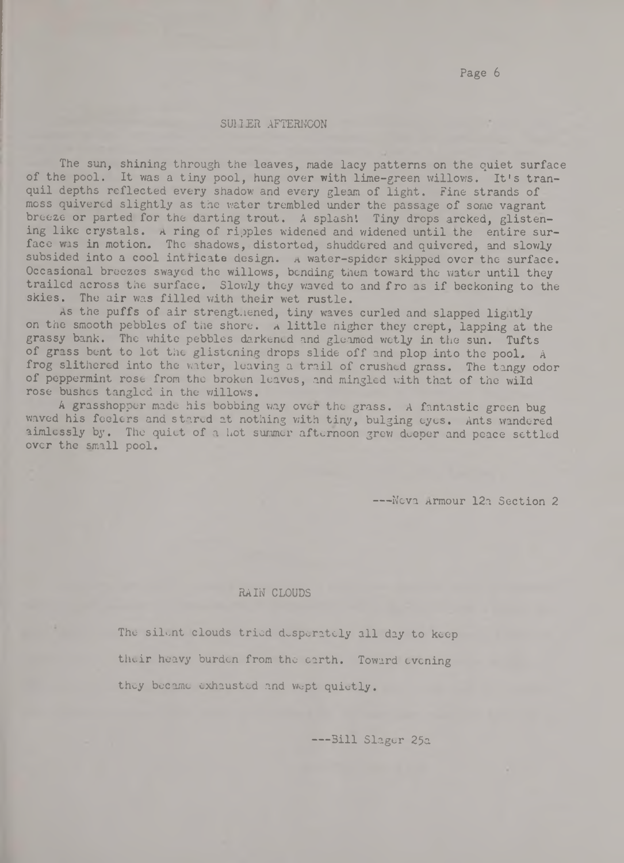Page 6

#### **SUiJER AFTERNOON**

**The sun, shining through the leaves, made lacy patterns on the quiet surface of the pool. It was a tiny pool, hung over with lime-green willows. It's tranquil depths reflected every shadow and every gleam of light. Fine strands of moss quivered slightly as the water trembled under the passage of some vagrant** breeze or parted for the darting trout. A splash! Tiny drops arcked, glisten**ing like crystals. A ring of ripples widened and widened until the entire surface was in motion. The shadows, distorted, shuddered and quivered, and slowly subsided into a cool intricate design, a water-spider skipped over the surface. Occasional breezes swayed the willows, bending them toward the water until they trailed across the surface. Slowly they waved to and fro as if beckoning to the skies. The air was filled with their wet rustle.**

As the puffs of air strengt. ened, tiny waves curled and slapped lightly **on the smooth pebbles of the shore, a little higher they crept, lapping at the grassy bank. The white pebbles darkened and gleamed wetly in the sun. Tufts of grass bent to lot the glistening drops slide off and plop into the pool. A frog slithered into the water, leaving a trail of crushed grass. The tangy odor of peppermint rose from the broken leaves, and mingled with that of the wild rose bushes tangled in the willows.**

**A grasshopper made his bobbing way over the grass. A fantastic green bug waved his feelers and stared at nothing with tiny, bulging eyes. Ants wandered** aimlessly by. The quiet of a hot summer afternoon grew deeper and peace settled **over the small pool.**

**---Nova Armour 12a Section 2**

#### **RAIN CLOUDS**

**The silent clouds tried desperately all day to keep their heavy burden from the earth. Toward evening they became exhausted and wept quietly.**

**— -Bill Slager 25a**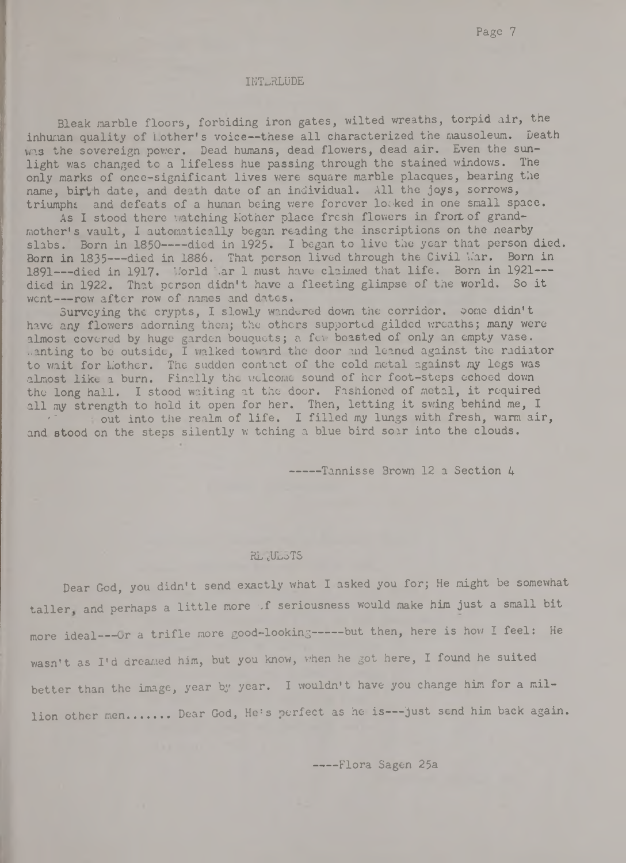#### **INTERLUDE**

**Bleak marble floors, forbiding iron gates, wilted wreaths, torpid air, the** inhuman quality of *Mother's voice--these all characterized the mausoleum.* Death was the sovereign power. Dead humans, dead flowers, dead air. Even the sun**light was changed to a lifeless hue passing through the stained windows. The only marks of onee-significant lives were square marble placques, bearing the name, birth date, and death date of an individual. All the joys, sorrows, triumpht and defeats of a human being were forever looked in one small space.**

As I stood there watching Lother place fresh flowers in front of grand**mother's vault, I automatically began reading the inscriptions on the nearby slabs. Born in 1850----died in 1925. I began to live the year that person died. Born in 1835---died in 1886. That person lived through the Civil Uar. Born in 1891---died in 1917. M'orld \ar 1 must have claimed that life. Born in 1921 died in 1922. That person didn't have a fleeting glimpse of the world. So it went— -row after row of names and dates.**

Surveying the crypts, I slowly wandered down the corridor. Some didn't **have any flowers adorning them; the others supported gilded wreaths; many were almost covered by huge garden bouquets; a few boasted of only an empty vase. ..anting to be outside, I walked toward the door and leaned against the radiator** to wait for Lother. The sudden contact of the cold metal against my legs was **almost like a burn. Finally the welcome sound of her foot-steps echoed down the long hall. I stood waiting at the door. Fashioned of metal, it required** all my strength to hold it open for her. Then, letting it swing behind me, I <sup>r</sup>**~ ; out into the realm of life. I filled my lungs with fresh, warm air, and stood on the steps silently w tching a blue bird soar into the clouds.**

**---- Tannisse Brown 12 a Section 4**

### **REQUESTS**

**Dear God, you didn't send exactly what I asked you for; He might be somewhat** taller and perhaps a little more f seriousness would make him just a small bit more ideal---- Or a trifle more good-looking----- but then, here is how I feel: He **wasn't as I'd dreamed him, but you know, when he got here, I found he suited** better than the image, year by year. I wouldn't have you change him for a mil**lion other men...... Dear God, He's perfect as he is— just send him back again.**

**— — Flora Sagen 25a**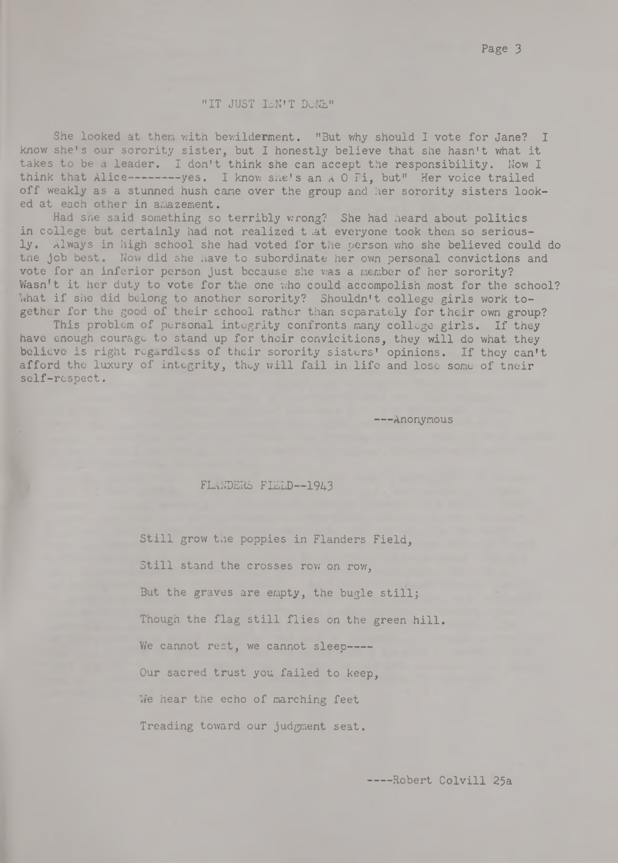#### "IT JUST ISN'T DUNE"

She looked at them with bewilderment. "But why should I vote for Jane? I **know she's our sorority sister, but I honestly believe that she hasn't what it takes to be a leader. I don't think she can accept the responsibility. Now I think that Alice-------- yes. I know she's an A 0 Pi, but" Her voice trailed off weakly as a stunned hush cane over the group and her sorority sisters looked at each other in amazement.**

**Had she said something so terribly wrong? She had heard about politics in college but certainly had not realized t iat everyone took them so seriously. Always in high school she had voted for the person who she believed could do the job best. Now did she have to subordinate her own personal convictions and vote for an inferior person just because she was a member of her sorority? Wasn't it her duty to vote for the one who could accompolish most for the school? what if she did belong to another sorority? Shouldn't college girls work together for the good of their school rather than separately for their own group?**

**This problem of personal integrity confronts many college girls. If they have enough courage to stand up for their convicitions, they will do what they believe is right regardless of their sorority sisters' opinions. If they can't afford the luxury of integrity, they will fail in life and lose some of their self-respect.**

**-— Anonymous**

# **FLANDERS FIELD——1943**

**Still grow the poppies in Flanders Field, Still stand the crosses row on row, But the graves are empty, the bugle stillj Though the flag still flies on the green hill. We cannot rest, we cannot sleep---- Our sacred trust you failed to keep, We hear the echo of marching feet Treading toward our judgment seat.**

**----Robert Colvill 25a**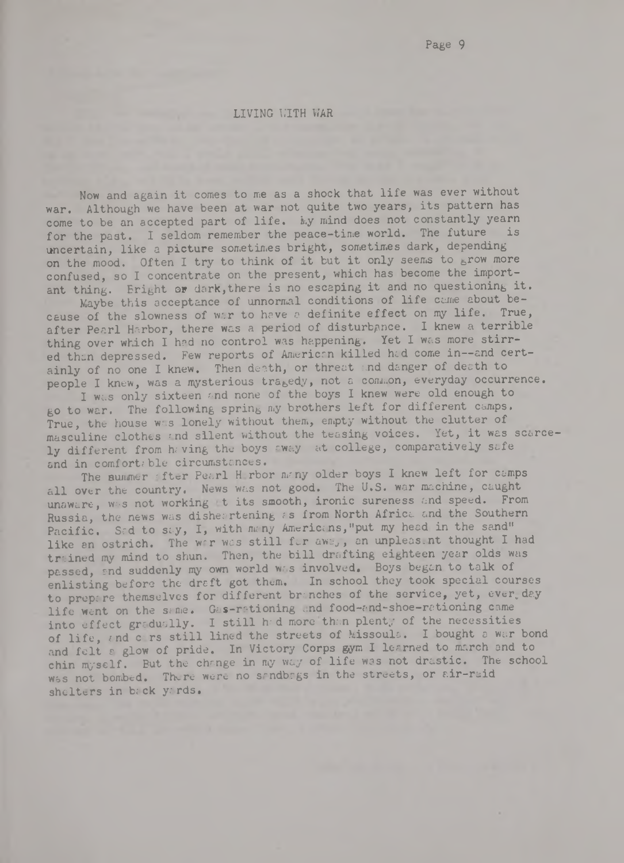**LIVING WITH WAR** 

**Now and again it comes to me as a shock that life was ever without war. Although we have been at war not quite two years, its pattern has come to be an accepted part of life, ky mind does not constantly yearn for the past. I seldom remember the peace-time world. The future is** uncertain, like a picture sometimes bright, sometimes dark, depending **on the mood. Often I try to think of it but it only seems to grow more confused, so I concentrate on the present, which has become the important thing. Eright ar dark,there is no escaping it and no questioning it.**

Maybe this acceptance of unnormal conditions of life came about be**cause of the slowness of war to have a definite effect on** my **life. True, after Pearl Harbor, there was a period of disturbance. I knew a terrible** thing over which I had no control was happening. Yet I was more stirred than depressed. Few reports of American killed had come in--and certainly of no one I knew. Then death, or threat and danger of death to **people I knew, was a mysterious tragedy, not a common, everyday occurrence.**

I was only sixteen and none of the boys I knew were old enough to **go to war. The following spring my brothers left for different camps.** True, the house was lonely without them, empty without the clutter of masculine clothes and silent without the teasing voices. Yet, it was scarcely different from having the boys away at college, comparatively safe and in comfortable circumstances.

The summer after Pearl H rbor many older boys I knew left for camps **all over the country. News was not good. The U.S. war machine, caught** unaware, was not working t its smooth, ironic sureness and speed. From Russia, the news was disher rtening as from North Africa and the Southern Pacific. Sed to say, I, with many Americans,"put my head in the sand" like an ostrich. The war was still far away, an unpleas nt thought I had trained my mind to shun. Then, the bill drafting eighteen year olds was passed, end suddenly my own world was involved. Boys began to talk of enlisting before the draft got them. In school they took special courses to prepare themselves for different branches of the service, yet, ever day **life went on the same. Gas-rationing arid food-nnd-shoe-retioning came into effect gradually. I still h.-d more than plenty of the necessities** of life, and c rs still lined the streets of Missoula. I bought a war bond and felt a glow of pride. In Victory Corps gym I learned to march and to chin myself. But the change in my way of life was not drastic. The school was not bombed. There were no sandbags in the streets, or air-raid shelters in back yards.

Page 9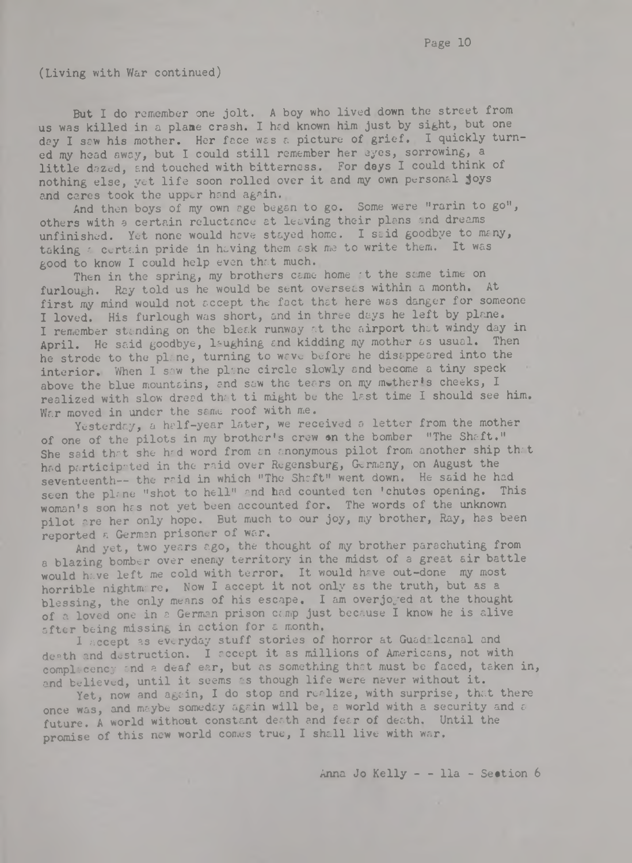**(Living with War continued)**

**But I do remember one jolt. A boy who lived down the street from us was killed in a plane crash. I hcd known him just by sight, but one** day I saw his mother. Her face was a picture of grief. I quickly turn**ed my head away, but I could still remember her eyes, sorrowing, a little dazed, and touched with bitterness. For days I could think of** nothing else, yet life soon rolled over it and my own personal joys **and cares took the upper hand again.**

**And then boys of my own age began to go. Some were "rarin to go",** others with a certain reluctance at leaving their plans and dreams unfinished. Yet none would have stayed home. I said goodbye to many, taking a certain pride in having them ask me to write them. It was good to know I could help even that much.

**Then in the spring, my brothers came home 't the same time on** furlou<sub>sh</sub>. Ray told us he would be sent overseas within a month. At first my mind would not accept the fact that here was danger for someone **I loved. His furlough was short, and in three days he left by plane.** I remember standing on the bleak runway at the airport that windy day in April. He said goodbye, laughing and kidding my mother as usual. Then **he strode to the plane, turning to wave before he disappeared into the** interior. When I saw the plane circle slowly and become a tiny speck above the blue mountains, and saw the tears on my mother's cheeks, I realized with slow dread that ti might be the last time I should see him. **War moved in under the same roof with me.**

Yesterday, a half-year later, we received a letter from the mother **of one of the pilots in my brother's crew en the bomber "The Shaft."** She said that she had word from an anonymous pilot from another ship that **had participated in the raid over Regensburg, Germany, on August the** seventeenth-- the raid in which "The Shaft" went down. He said he had seen the plane "shot to hell" and had counted ten 'chutes opening. This woman's son has not yet been accounted for. The words of the unknown **pilot are her only hope. But much to our joy, my brother, Ray, has been reported a German prisoner of war.**

**And yet, two years ago, the thought of my brother parachuting from a blazing bomber over enemy territory in the midst of a great air battle would have left me cold with terror. It would have out-done my most horrible nightmare, Now I accept it not only as the truth, but as a** blessing, the only means of his escape. I am overjo<sub>red</sub> at the thought of a loved one in a German prison camp just because I know he is alive **after being missing in action for £ month.**

I accept as everyday stuff stories of horror at Guad Icanal and **death and destruction. I accept it as millions of Americans, not with** complacency and a deaf ear, but as something that must be faced, taken in, and believed, until it seems as though life were never without it.

Yet, now and again, I do stop and realize, with surprise, that there **once was, and maybe someday again will be, a world with a security and** *&* **future. A world without constant death and fear of death. Until the promise of this new world comes true, I shall live with war.**